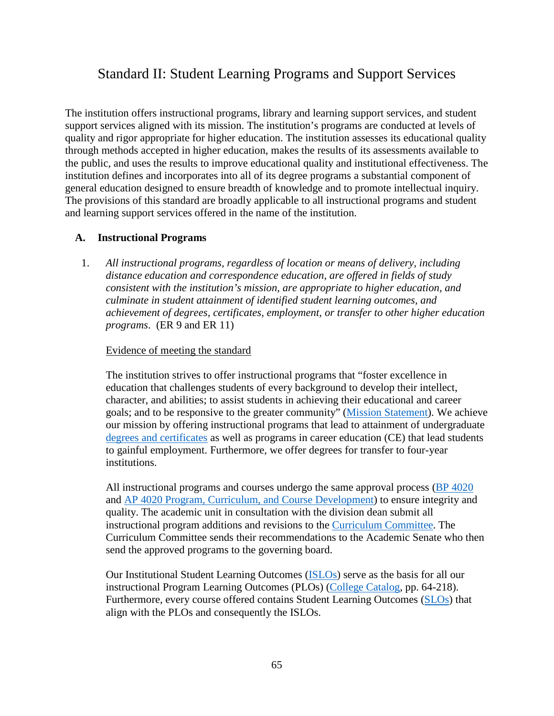# Standard II: Student Learning Programs and Support Services

The institution offers instructional programs, library and learning support services, and student support services aligned with its mission. The institution's programs are conducted at levels of quality and rigor appropriate for higher education. The institution assesses its educational quality through methods accepted in higher education, makes the results of its assessments available to the public, and uses the results to improve educational quality and institutional effectiveness. The institution defines and incorporates into all of its degree programs a substantial component of general education designed to ensure breadth of knowledge and to promote intellectual inquiry. The provisions of this standard are broadly applicable to all instructional programs and student and learning support services offered in the name of the institution.

# **A. Instructional Programs**

1. *All instructional programs, regardless of location or means of delivery, including distance education and correspondence education, are offered in fields of study consistent with the institution's mission, are appropriate to higher education, and culminate in student attainment of identified student learning outcomes, and achievement of degrees, certificates, employment, or transfer to other higher education programs*. (ER 9 and ER 11)

# Evidence of meeting the standard

The institution strives to offer instructional programs that "foster excellence in education that challenges students of every background to develop their intellect, character, and abilities; to assist students in achieving their educational and career goals; and to be responsive to the greater community" [\(Mission Statement\)](https://www.imperial.edu/about/mission-vision-and-core-values/). We achieve our mission by offering instructional programs that lead to attainment of undergraduate [degrees and certificates](https://www.imperial.edu/courses-and-programs/program-pathways/) as well as programs in career education (CE) that lead students to gainful employment. Furthermore, we offer degrees for transfer to four-year institutions.

All instructional programs and courses undergo the same approval process (BP [4020](https://www.imperial.edu/docs/accreditation/2018-institutional-self-evaluation-report/evidence-board-policies/9022-bp-4020-program-curriculum-and-course-development-1/file) and AP [4020 Program, Curriculum, and Course Development\)](https://www.imperial.edu/docs/accreditation/2018-institutional-self-evaluation-report/evidence-administrative-procedures/9058-ap-4020-program-curriculum-and-course-development/file) to ensure integrity and quality. The academic unit in consultation with the division dean submit all instructional program additions and revisions to the [Curriculum Committee.](https://www.imperial.edu/faculty-and-staff/campus-committees/academic-senate/subcommittees/curriculum/) The Curriculum Committee sends their recommendations to the Academic Senate who then send the approved programs to the governing board.

Our Institutional Student Learning Outcomes [\(ISLOs\)](https://imperial.instructure.com/courses/5725/pages/institutional-learning-outcomes-ilos) serve as the basis for all our instructional Program Learning Outcomes (PLOs) [\(College Catalog,](https://www.imperial.edu/docs/catalogs-schedules/catalog-archive/2018-2019-catalog/8950-2018-2019-catalog-part-06-associate-degree-and-certificate-programs/file) pp. 64-218). Furthermore, every course offered contains Student Learning Outcomes [\(SLOs\)](https://imperial.instructure.com/courses/5725/pages/student-learning-outcomes-slos) that align with the PLOs and consequently the ISLOs.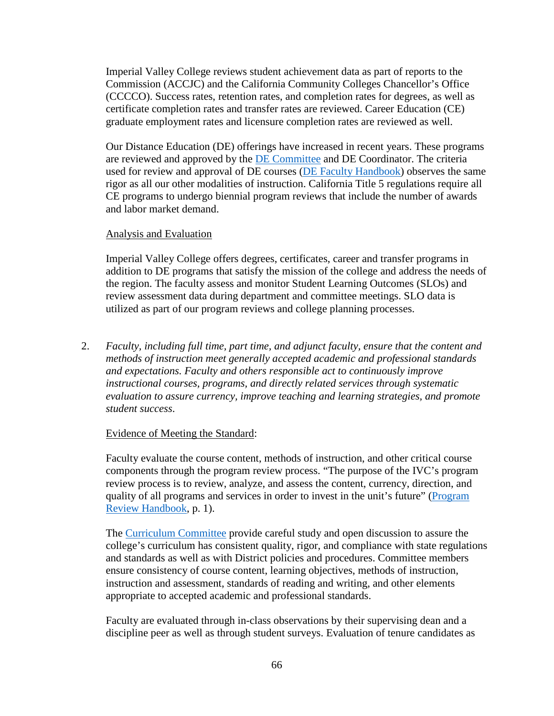Imperial Valley College reviews student achievement data as part of reports to the Commission (ACCJC) and the California Community Colleges Chancellor's Office (CCCCO). Success rates, retention rates, and completion rates for degrees, as well as certificate completion rates and transfer rates are reviewed. Career Education (CE) graduate employment rates and licensure completion rates are reviewed as well.

Our Distance Education (DE) offerings have increased in recent years. These programs are reviewed and approved by the [DE Committee](https://www.imperial.edu/faculty-and-staff/campus-committees/academic-senate/subcommittees/distance-education/) and DE Coordinator. The criteria used for review and approval of DE courses [\(DE Faculty Handbook\)](https://www.imperial.edu/docs/accreditation/2018-institutional-self-evaluation-report/evidence-planning-documents/9089-de-faculty-handbook/file) observes the same rigor as all our other modalities of instruction. California Title 5 regulations require all CE programs to undergo biennial program reviews that include the number of awards and labor market demand.

# Analysis and Evaluation

Imperial Valley College offers degrees, certificates, career and transfer programs in addition to DE programs that satisfy the mission of the college and address the needs of the region. The faculty assess and monitor Student Learning Outcomes (SLOs) and review assessment data during department and committee meetings. SLO data is utilized as part of our program reviews and college planning processes.

2. *Faculty, including full time, part time, and adjunct faculty, ensure that the content and methods of instruction meet generally accepted academic and professional standards and expectations. Faculty and others responsible act to continuously improve instructional courses, programs, and directly related services through systematic evaluation to assure currency, improve teaching and learning strategies, and promote student success*.

# Evidence of Meeting the Standard:

Faculty evaluate the course content, methods of instruction, and other critical course components through the program review process. "The purpose of the IVC's program review process is to review, analyze, and assess the content, currency, direction, and quality of all programs and services in order to invest in the unit's future" [\(Program](https://www.imperial.edu/docs/accreditation/2018-institutional-self-evaluation-report/evidence-planning-documents/9097-2014-2015-program-review-handbook/file)  [Review Handbook,](https://www.imperial.edu/docs/accreditation/2018-institutional-self-evaluation-report/evidence-planning-documents/9097-2014-2015-program-review-handbook/file) p. 1).

The [Curriculum Committee](https://www.imperial.edu/faculty-and-staff/campus-committees/academic-senate/subcommittees/curriculum/) provide careful study and open discussion to assure the college's curriculum has consistent quality, rigor, and compliance with state regulations and standards as well as with District policies and procedures. Committee members ensure consistency of course content, learning objectives, methods of instruction, instruction and assessment, standards of reading and writing, and other elements appropriate to accepted academic and professional standards.

Faculty are evaluated through in-class observations by their supervising dean and a discipline peer as well as through student surveys. Evaluation of tenure candidates as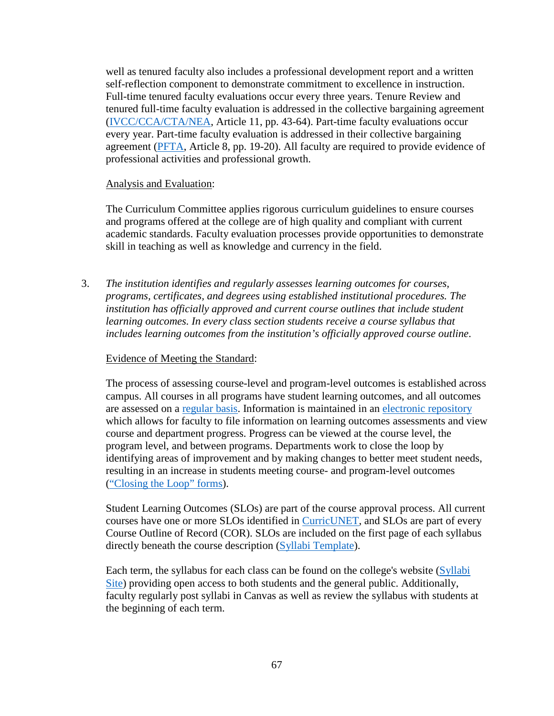well as tenured faculty also includes a professional development report and a written self-reflection component to demonstrate commitment to excellence in instruction. Full-time tenured faculty evaluations occur every three years. Tenure Review and tenured full-time faculty evaluation is addressed in the collective bargaining agreement [\(IVCC/CCA/CTA/NEA,](https://ivccta.com/) Article 11, pp. 43-64). Part-time faculty evaluations occur every year. Part-time faculty evaluation is addressed in their collective bargaining agreement [\(PFTA,](https://www.imperial.edu/faculty-and-staff/employee-unions/ptfa/collective-bargaining-agreements/) Article 8, pp. 19-20). All faculty are required to provide evidence of professional activities and professional growth.

### Analysis and Evaluation:

The Curriculum Committee applies rigorous curriculum guidelines to ensure courses and programs offered at the college are of high quality and compliant with current academic standards. Faculty evaluation processes provide opportunities to demonstrate skill in teaching as well as knowledge and currency in the field.

3. *The institution identifies and regularly assesses learning outcomes for courses, programs, certificates, and degrees using established institutional procedures. The institution has officially approved and current course outlines that include student learning outcomes. In every class section students receive a course syllabus that includes learning outcomes from the institution's officially approved course outline*.

# Evidence of Meeting the Standard:

The process of assessing course-level and program-level outcomes is established across campus. All courses in all programs have student learning outcomes, and all outcomes are assessed on a [regular basis.](https://imperial.instructure.com/courses/5725/pages/schedule-of-slos-and-plos) Information is maintained in an [electronic repository](https://www.imperial.edu/docs/accreditation/2018-institutional-self-evaluation-report/evidence-re-faculty-and-staff/9123-slos-in-spol/file) which allows for faculty to file information on learning outcomes assessments and view course and department progress. Progress can be viewed at the course level, the program level, and between programs. Departments work to close the loop by identifying areas of improvement and by making changes to better meet student needs, resulting in an increase in students meeting course- and program-level outcomes [\("Closing the Loop" forms\)](https://www.imperial.edu/docs/accreditation/2018-institutional-self-evaluation-report/evidence-re-faculty-and-staff/9129-closing-the-loop-forms/file).

Student Learning Outcomes (SLOs) are part of the course approval process. All current courses have one or more SLOs identified in [CurricUNET,](http://imperial.curricunet.com/PublicSearch/Index) and SLOs are part of every Course Outline of Record (COR). SLOs are included on the first page of each syllabus directly beneath the course description [\(Syllabi Template\)](https://www.imperial.edu/docs/accreditation/2018-institutional-self-evaluation-report/evidence-re-faculty-and-staff/9111-syllabus-template/file).

Each term, the syllabus for each class can be found on the college's website [\(Syllabi](https://syllabi.imperial.edu/)  [Site\)](https://syllabi.imperial.edu/) providing open access to both students and the general public. Additionally, faculty regularly post syllabi in Canvas as well as review the syllabus with students at the beginning of each term.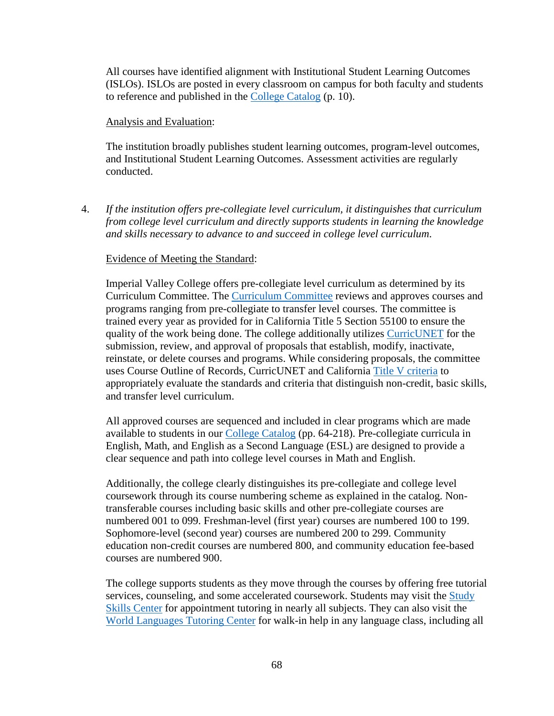All courses have identified alignment with Institutional Student Learning Outcomes (ISLOs). ISLOs are posted in every classroom on campus for both faculty and students to reference and published in the [College Catalog](https://www.imperial.edu/docs/catalogs-schedules/catalog-archive/2018-2019-catalog/8949-2018-2019-catalog-part-01-accreditation-about-the-college/file) (p. 10).

#### Analysis and Evaluation:

The institution broadly publishes student learning outcomes, program-level outcomes, and Institutional Student Learning Outcomes. Assessment activities are regularly conducted.

4. *If the institution offers pre-collegiate level curriculum, it distinguishes that curriculum from college level curriculum and directly supports students in learning the knowledge and skills necessary to advance to and succeed in college level curriculum*.

#### Evidence of Meeting the Standard:

Imperial Valley College offers pre-collegiate level curriculum as determined by its Curriculum Committee. The [Curriculum Committee](https://www.imperial.edu/faculty-and-staff/campus-committees/academic-senate/subcommittees/curriculum/) reviews and approves courses and programs ranging from pre-collegiate to transfer level courses. The committee is trained every year as provided for in California Title 5 Section 55100 to ensure the quality of the work being done. The college additionally utilizes [CurricUNET](http://imperial.curricunet.com/PublicSearch/Index) for the submission, review, and approval of proposals that establish, modify, inactivate, reinstate, or delete courses and programs. While considering proposals, the committee uses Course Outline of Records, CurricUNET and California [Title V criteria](https://govt.westlaw.com/calregs/Browse/Home/California/CaliforniaCodeofRegulations?guid=IA71E3580D48411DEBC02831C6D6C108E&originationContext=documenttoc&transitionType=Default&contextData=(sc.Default)) to appropriately evaluate the standards and criteria that distinguish non-credit, basic skills, and transfer level curriculum.

All approved courses are sequenced and included in clear programs which are made available to students in our [College Catalog](https://www.imperial.edu/docs/catalogs-schedules/catalog-archive/2018-2019-catalog/8950-2018-2019-catalog-part-06-associate-degree-and-certificate-programs/file) (pp. 64-218). Pre-collegiate curricula in English, Math, and English as a Second Language (ESL) are designed to provide a clear sequence and path into college level courses in Math and English.

Additionally, the college clearly distinguishes its pre-collegiate and college level coursework through its course numbering scheme as explained in the catalog. Nontransferable courses including basic skills and other pre-collegiate courses are numbered 001 to 099. Freshman-level (first year) courses are numbered 100 to 199. Sophomore-level (second year) courses are numbered 200 to 299. Community education non-credit courses are numbered 800, and community education fee-based courses are numbered 900.

The college supports students as they move through the courses by offering free tutorial services, counseling, and some accelerated coursework. Students may visit the [Study](https://www.imperial.edu/students/learning-services/study-skills-center/)  [Skills Center](https://www.imperial.edu/students/learning-services/study-skills-center/) for appointment tutoring in nearly all subjects. They can also visit the [World Languages Tutoring Center](https://www.imperial.edu/courses-and-programs/divisions/arts-and-letters/learning-services-department/study-skills-center/world-langauges-tutorial-center/) for walk-in help in any language class, including all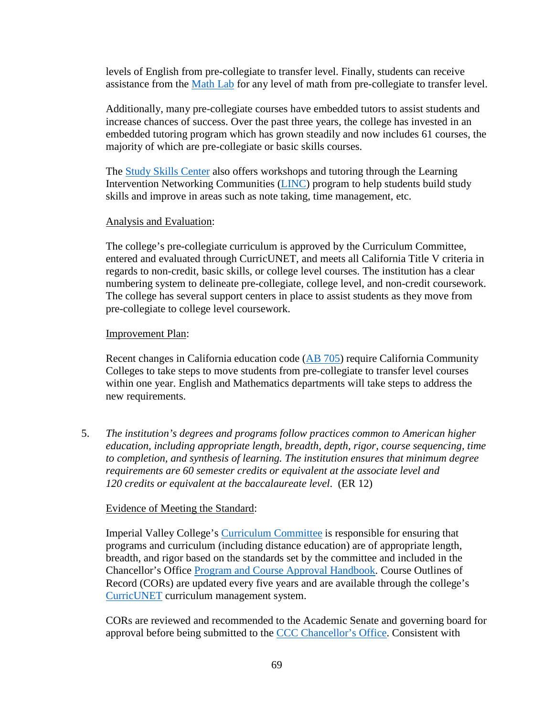levels of English from pre-collegiate to transfer level. Finally, students can receive assistance from the [Math Lab](https://www.imperial.edu/students/computer-labs/math-lab/) for any level of math from pre-collegiate to transfer level.

Additionally, many pre-collegiate courses have embedded tutors to assist students and increase chances of success. Over the past three years, the college has invested in an embedded tutoring program which has grown steadily and now includes 61 courses, the majority of which are pre-collegiate or basic skills courses.

The [Study Skills Center](https://www.imperial.edu/students/learning-services/study-skills-center/) also offers workshops and tutoring through the Learning Intervention Networking Communities [\(LINC\)](https://www.imperial.edu/courses-and-programs/divisions/arts-and-letters/learning-services-department/study-skills-center/workshops/) program to help students build study skills and improve in areas such as note taking, time management, etc.

# Analysis and Evaluation:

The college's pre-collegiate curriculum is approved by the Curriculum Committee, entered and evaluated through CurricUNET, and meets all California Title V criteria in regards to non-credit, basic skills, or college level courses. The institution has a clear numbering system to delineate pre-collegiate, college level, and non-credit coursework. The college has several support centers in place to assist students as they move from pre-collegiate to college level coursework.

### Improvement Plan:

Recent changes in California education code (AB [705\)](https://www.imperial.edu/docs/accreditation/2018-institutional-self-evaluation-report/z-evidence-correspondence/9126-ab-705-summary/file) require California Community Colleges to take steps to move students from pre-collegiate to transfer level courses within one year. English and Mathematics departments will take steps to address the new requirements.

5. *The institution's degrees and programs follow practices common to American higher education, including appropriate length, breadth, depth, rigor, course sequencing, time to completion, and synthesis of learning. The institution ensures that minimum degree requirements are 60 semester credits or equivalent at the associate level and 120 credits or equivalent at the baccalaureate level*. (ER 12)

#### Evidence of Meeting the Standard:

Imperial Valley College's [Curriculum Committee](https://www.imperial.edu/faculty-and-staff/campus-committees/academic-senate/subcommittees/curriculum/) is responsible for ensuring that programs and curriculum (including distance education) are of appropriate length, breadth, and rigor based on the standards set by the committee and included in the Chancellor's Office [Program and Course Approval Handbook.](http://extranet.cccco.edu/Portals/1/AA/ProgramCourseApproval/Handbook_5thEd_BOGapproved.pdf) Course Outlines of Record (CORs) are updated every five years and are available through the college's [CurricUNET](http://imperial.curricunet.com/PublicSearch/Index) curriculum management system.

CORs are reviewed and recommended to the Academic Senate and governing board for approval before being submitted to the [CCC Chancellor's Office.](https://www.cccco.edu/) Consistent with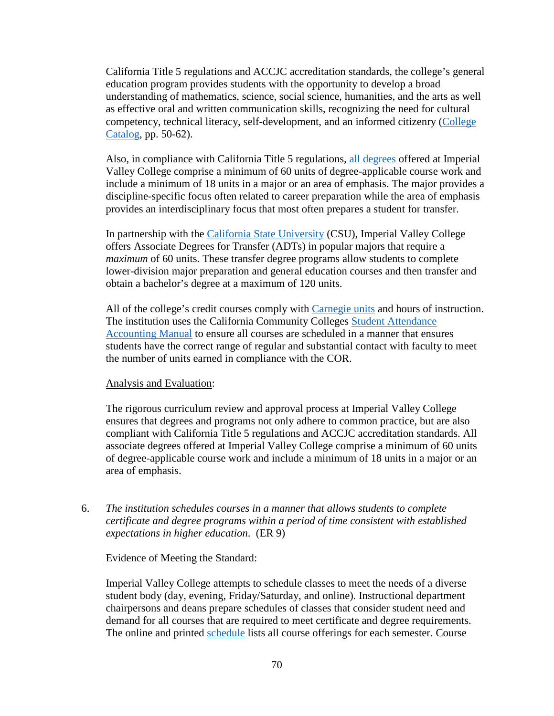California Title 5 regulations and ACCJC accreditation standards, the college's general education program provides students with the opportunity to develop a broad understanding of mathematics, science, social science, humanities, and the arts as well as effective oral and written communication skills, recognizing the need for cultural competency, technical literacy, self-development, and an informed citizenry [\(College](https://www.imperial.edu/docs/catalogs-schedules/catalog-archive/2018-2019-catalog/8942-2018-2019-catalog-part-05-degrees-certificates-and-transfer-planning/file)  [Catalog,](https://www.imperial.edu/docs/catalogs-schedules/catalog-archive/2018-2019-catalog/8942-2018-2019-catalog-part-05-degrees-certificates-and-transfer-planning/file) pp. 50-62).

Also, in compliance with California Title 5 regulations, [all degrees](https://www.imperial.edu/courses-and-programs/program-pathways/) offered at Imperial Valley College comprise a minimum of 60 units of degree-applicable course work and include a minimum of 18 units in a major or an area of emphasis. The major provides a discipline-specific focus often related to career preparation while the area of emphasis provides an interdisciplinary focus that most often prepares a student for transfer.

In partnership with the [California State University](https://www2.calstate.edu/) (CSU), Imperial Valley College offers Associate Degrees for Transfer (ADTs) in popular majors that require a *maximum* of 60 units. These transfer degree programs allow students to complete lower-division major preparation and general education courses and then transfer and obtain a bachelor's degree at a maximum of 120 units.

All of the college's credit courses comply with [Carnegie units](https://www.carnegiefoundation.org/resources/publications/carnegie-unit/) and hours of instruction. The institution uses the California Community Colleges [Student Attendance](http://extranet.cccco.edu/Divisions/FinanceFacilities/FiscalServicesUnit/StudentAttendanceAccountingManual.aspx#Attendance_Accounting_/_FTES)  [Accounting Manual](http://extranet.cccco.edu/Divisions/FinanceFacilities/FiscalServicesUnit/StudentAttendanceAccountingManual.aspx#Attendance_Accounting_/_FTES) to ensure all courses are scheduled in a manner that ensures students have the correct range of regular and substantial contact with faculty to meet the number of units earned in compliance with the COR.

#### Analysis and Evaluation:

The rigorous curriculum review and approval process at Imperial Valley College ensures that degrees and programs not only adhere to common practice, but are also compliant with California Title 5 regulations and ACCJC accreditation standards. All associate degrees offered at Imperial Valley College comprise a minimum of 60 units of degree-applicable course work and include a minimum of 18 units in a major or an area of emphasis.

6. *The institution schedules courses in a manner that allows students to complete certificate and degree programs within a period of time consistent with established expectations in higher education*. (ER 9)

#### Evidence of Meeting the Standard:

Imperial Valley College attempts to schedule classes to meet the needs of a diverse student body (day, evening, Friday/Saturday, and online). Instructional department chairpersons and deans prepare schedules of classes that consider student need and demand for all courses that are required to meet certificate and degree requirements. The online and printed [schedule](https://www.imperial.edu/courses-and-programs/catalogs-and-schedules/#schedules_section) lists all course offerings for each semester. Course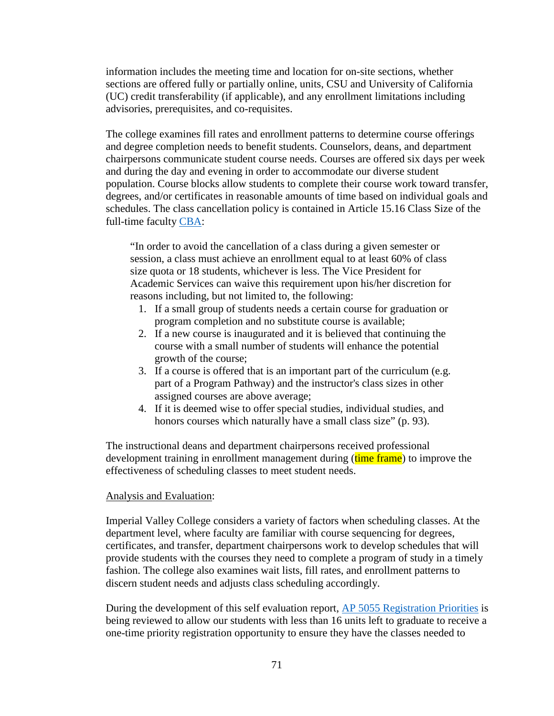information includes the meeting time and location for on-site sections, whether sections are offered fully or partially online, units, CSU and University of California (UC) credit transferability (if applicable), and any enrollment limitations including advisories, prerequisites, and co-requisites.

The college examines fill rates and enrollment patterns to determine course offerings and degree completion needs to benefit students. Counselors, deans, and department chairpersons communicate student course needs. Courses are offered six days per week and during the day and evening in order to accommodate our diverse student population. Course blocks allow students to complete their course work toward transfer, degrees, and/or certificates in reasonable amounts of time based on individual goals and schedules. The class cancellation policy is contained in Article 15.16 Class Size of the full-time faculty [CBA:](https://ivccta.files.wordpress.com/2018/01/2017-2018-final-cta-contract-12-13-17.pdf)

"In order to avoid the cancellation of a class during a given semester or session, a class must achieve an enrollment equal to at least 60% of class size quota or 18 students, whichever is less. The Vice President for Academic Services can waive this requirement upon his/her discretion for reasons including, but not limited to, the following:

- 1. If a small group of students needs a certain course for graduation or program completion and no substitute course is available;
- 2. If a new course is inaugurated and it is believed that continuing the course with a small number of students will enhance the potential growth of the course;
- 3. If a course is offered that is an important part of the curriculum (e.g. part of a Program Pathway) and the instructor's class sizes in other assigned courses are above average;
- 4. If it is deemed wise to offer special studies, individual studies, and honors courses which naturally have a small class size" (p. 93).

The instructional deans and department chairpersons received professional development training in enrollment management during (time frame) to improve the effectiveness of scheduling classes to meet student needs.

#### Analysis and Evaluation:

Imperial Valley College considers a variety of factors when scheduling classes. At the department level, where faculty are familiar with course sequencing for degrees, certificates, and transfer, department chairpersons work to develop schedules that will provide students with the courses they need to complete a program of study in a timely fashion. The college also examines wait lists, fill rates, and enrollment patterns to discern student needs and adjusts class scheduling accordingly.

During the development of this self evaluation report, AP [5055 Registration Priorities](https://www.imperial.edu/docs/accreditation/2018-institutional-self-evaluation-report/evidence-administrative-procedures/9069-ap-5055-registration-priorities/file) is being reviewed to allow our students with less than 16 units left to graduate to receive a one-time priority registration opportunity to ensure they have the classes needed to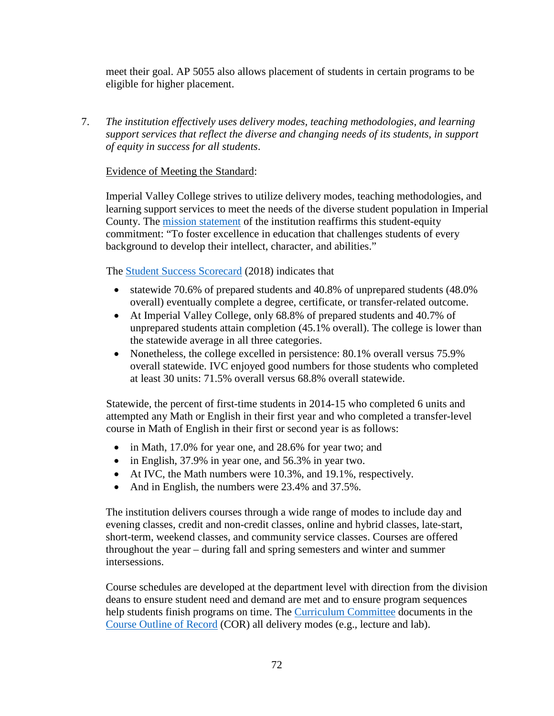meet their goal. AP 5055 also allows placement of students in certain programs to be eligible for higher placement.

7. *The institution effectively uses delivery modes, teaching methodologies, and learning support services that reflect the diverse and changing needs of its students, in support of equity in success for all students*.

# Evidence of Meeting the Standard:

Imperial Valley College strives to utilize delivery modes, teaching methodologies, and learning support services to meet the needs of the diverse student population in Imperial County. The [mission statement](https://www.imperial.edu/about/mission-vision-and-core-values/) of the institution reaffirms this student-equity commitment: "To foster excellence in education that challenges students of every background to develop their intellect, character, and abilities."

The [Student Success Scorecard](https://scorecard.cccco.edu/scorecardrates.aspx?CollegeID=031) (2018) indicates that

- statewide 70.6% of prepared students and 40.8% of unprepared students (48.0%) overall) eventually complete a degree, certificate, or transfer-related outcome.
- At Imperial Valley College, only 68.8% of prepared students and 40.7% of unprepared students attain completion (45.1% overall). The college is lower than the statewide average in all three categories.
- Nonetheless, the college excelled in persistence: 80.1% overall versus 75.9% overall statewide. IVC enjoyed good numbers for those students who completed at least 30 units: 71.5% overall versus 68.8% overall statewide.

Statewide, the percent of first-time students in 2014-15 who completed 6 units and attempted any Math or English in their first year and who completed a transfer-level course in Math of English in their first or second year is as follows:

- in Math, 17.0% for year one, and 28.6% for year two; and
- in English, 37.9% in year one, and 56.3% in year two.
- At IVC, the Math numbers were 10.3%, and 19.1%, respectively.
- And in English, the numbers were 23.4% and 37.5%.

The institution delivers courses through a wide range of modes to include day and evening classes, credit and non-credit classes, online and hybrid classes, late-start, short-term, weekend classes, and community service classes. Courses are offered throughout the year – during fall and spring semesters and winter and summer intersessions.

Course schedules are developed at the department level with direction from the division deans to ensure student need and demand are met and to ensure program sequences help students finish programs on time. The [Curriculum Committee](https://www.imperial.edu/faculty-and-staff/campus-committees/academic-senate/subcommittees/curriculum/) documents in the [Course Outline of Record](http://imperial.curricunet.com/PublicSearch/Index) (COR) all delivery modes (e.g., lecture and lab).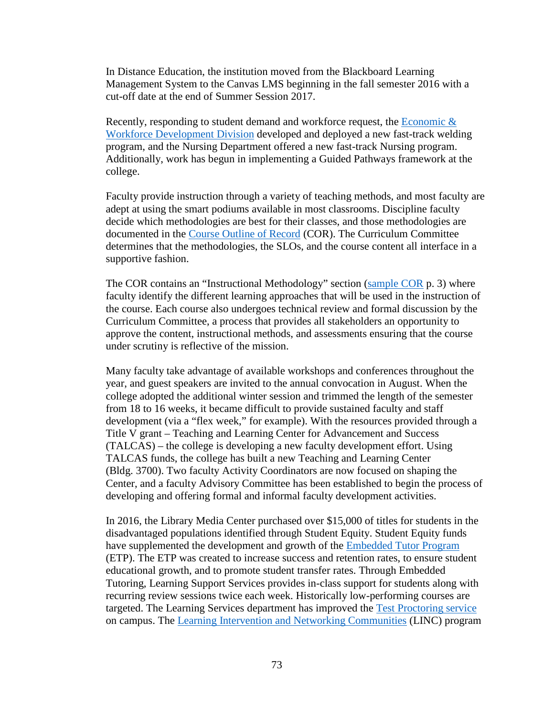In Distance Education, the institution moved from the Blackboard Learning Management System to the Canvas LMS beginning in the fall semester 2016 with a cut-off date at the end of Summer Session 2017.

Recently, responding to student demand and workforce request, the [Economic &](https://www.imperial.edu/courses-and-programs/divisions/economic-and-workforce-development/)  [Workforce Development Division](https://www.imperial.edu/courses-and-programs/divisions/economic-and-workforce-development/) developed and deployed a new fast-track welding program, and the Nursing Department offered a new fast-track Nursing program. Additionally, work has begun in implementing a Guided Pathways framework at the college.

Faculty provide instruction through a variety of teaching methods, and most faculty are adept at using the smart podiums available in most classrooms. Discipline faculty decide which methodologies are best for their classes, and those methodologies are documented in the [Course Outline of Record](http://imperial.curricunet.com/PublicSearch/Index) (COR). The Curriculum Committee determines that the methodologies, the SLOs, and the course content all interface in a supportive fashion.

The COR contains an "Instructional Methodology" section [\(sample COR](https://www.imperial.edu/docs/accreditation/2018-institutional-self-evaluation-report/evidence-re-faculty-and-staff/9125-cor-bio-100/file) p. 3) where faculty identify the different learning approaches that will be used in the instruction of the course. Each course also undergoes technical review and formal discussion by the Curriculum Committee, a process that provides all stakeholders an opportunity to approve the content, instructional methods, and assessments ensuring that the course under scrutiny is reflective of the mission.

Many faculty take advantage of available workshops and conferences throughout the year, and guest speakers are invited to the annual convocation in August. When the college adopted the additional winter session and trimmed the length of the semester from 18 to 16 weeks, it became difficult to provide sustained faculty and staff development (via a "flex week," for example). With the resources provided through a Title V grant – Teaching and Learning Center for Advancement and Success (TALCAS) – the college is developing a new faculty development effort. Using TALCAS funds, the college has built a new Teaching and Learning Center (Bldg. 3700). Two faculty Activity Coordinators are now focused on shaping the Center, and a faculty Advisory Committee has been established to begin the process of developing and offering formal and informal faculty development activities.

In 2016, the Library Media Center purchased over \$15,000 of titles for students in the disadvantaged populations identified through Student Equity. Student Equity funds have supplemented the development and growth of the [Embedded Tutor Program](https://www.imperial.edu/courses-and-programs/divisions/arts-and-letters/learning-services-department/study-skills-center/embedded-tutoring/) (ETP). The ETP was created to increase success and retention rates, to ensure student educational growth, and to promote student transfer rates. Through Embedded Tutoring, Learning Support Services provides in-class support for students along with recurring review sessions twice each week. Historically low-performing courses are targeted. The Learning Services department has improved the [Test Proctoring service](https://www.imperial.edu/courses-and-programs/divisions/arts-and-letters/learning-services-department/study-skills-center/test-proctoring/) on campus. The [Learning Intervention and Networking Communities](https://www.imperial.edu/courses-and-programs/divisions/arts-and-letters/learning-services-department/study-skills-center/workshops/) (LINC) program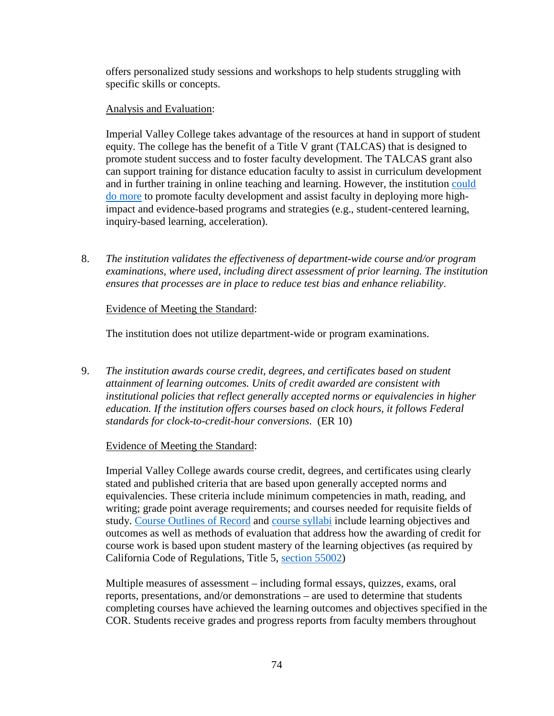offers personalized study sessions and workshops to help students struggling with specific skills or concepts.

# Analysis and Evaluation:

Imperial Valley College takes advantage of the resources at hand in support of student equity. The college has the benefit of a Title V grant (TALCAS) that is designed to promote student success and to foster faculty development. The TALCAS grant also can support training for distance education faculty to assist in curriculum development and in further training in online teaching and learning. However, the institution [could](https://www.imperial.edu/docs/accreditation/2018-institutional-self-evaluation-report/z-evidence-correspondence/9127-response-to-standard-67/file)  [do more](https://www.imperial.edu/docs/accreditation/2018-institutional-self-evaluation-report/z-evidence-correspondence/9127-response-to-standard-67/file) to promote faculty development and assist faculty in deploying more highimpact and evidence-based programs and strategies (e.g., student-centered learning, inquiry-based learning, acceleration).

8. *The institution validates the effectiveness of department-wide course and/or program examinations, where used, including direct assessment of prior learning. The institution ensures that processes are in place to reduce test bias and enhance reliability*.

# Evidence of Meeting the Standard:

The institution does not utilize department-wide or program examinations.

9. *The institution awards course credit, degrees, and certificates based on student attainment of learning outcomes. Units of credit awarded are consistent with institutional policies that reflect generally accepted norms or equivalencies in higher education. If the institution offers courses based on clock hours, it follows Federal standards for clock-to-credit-hour conversions*. (ER 10)

# Evidence of Meeting the Standard:

Imperial Valley College awards course credit, degrees, and certificates using clearly stated and published criteria that are based upon generally accepted norms and equivalencies. These criteria include minimum competencies in math, reading, and writing; grade point average requirements; and courses needed for requisite fields of study. [Course Outlines of Record](http://imperial.curricunet.com/PublicSearch/Index) and [course syllabi](https://syllabi.imperial.edu/) include learning objectives and outcomes as well as methods of evaluation that address how the awarding of credit for course work is based upon student mastery of the learning objectives (as required by California Code of Regulations, Title 5, [section 55002\)](https://govt.westlaw.com/calregs/Document/I02E2C60D166D4806B63BA4AF82F76323?viewType=FullText&originationContext=documenttoc&transitionType=CategoryPageItem&contextData=(sc.Default))

Multiple measures of assessment – including formal essays, quizzes, exams, oral reports, presentations, and/or demonstrations – are used to determine that students completing courses have achieved the learning outcomes and objectives specified in the COR. Students receive grades and progress reports from faculty members throughout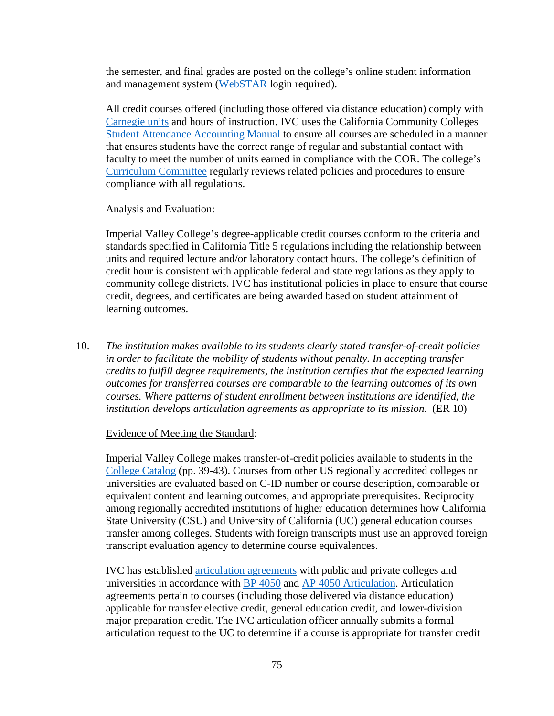the semester, and final grades are posted on the college's online student information and management system [\(WebSTAR](https://webstar.imperial.edu/pls/ivc01/twbkwbis.P_WWWLogin) login required).

All credit courses offered (including those offered via distance education) comply with [Carnegie units](https://www.carnegiefoundation.org/resources/publications/carnegie-unit/) and hours of instruction. IVC uses the California Community Colleges [Student Attendance Accounting Manual](http://extranet.cccco.edu/Divisions/FinanceFacilities/FiscalServicesUnit/StudentAttendanceAccountingManual.aspx#Attendance_Accounting_/_FTES) to ensure all courses are scheduled in a manner that ensures students have the correct range of regular and substantial contact with faculty to meet the number of units earned in compliance with the COR. The college's [Curriculum Committee](https://www.imperial.edu/faculty-and-staff/campus-committees/academic-senate/subcommittees/curriculum/) regularly reviews related policies and procedures to ensure compliance with all regulations.

#### Analysis and Evaluation:

Imperial Valley College's degree-applicable credit courses conform to the criteria and standards specified in California Title 5 regulations including the relationship between units and required lecture and/or laboratory contact hours. The college's definition of credit hour is consistent with applicable federal and state regulations as they apply to community college districts. IVC has institutional policies in place to ensure that course credit, degrees, and certificates are being awarded based on student attainment of learning outcomes.

10. *The institution makes available to its students clearly stated transfer-of-credit policies in order to facilitate the mobility of students without penalty. In accepting transfer credits to fulfill degree requirements, the institution certifies that the expected learning outcomes for transferred courses are comparable to the learning outcomes of its own courses. Where patterns of student enrollment between institutions are identified, the institution develops articulation agreements as appropriate to its mission*. (ER 10)

#### Evidence of Meeting the Standard:

Imperial Valley College makes transfer-of-credit policies available to students in the [College Catalog](https://www.imperial.edu/docs/catalogs-schedules/catalog-archive/2018-2019-catalog/8941-2018-2019-catalog-part-04-college-policies-rules-and-regulations/file) (pp. 39-43). Courses from other US regionally accredited colleges or universities are evaluated based on C-ID number or course description, comparable or equivalent content and learning outcomes, and appropriate prerequisites. Reciprocity among regionally accredited institutions of higher education determines how California State University (CSU) and University of California (UC) general education courses transfer among colleges. Students with foreign transcripts must use an approved foreign transcript evaluation agency to determine course equivalences.

IVC has established [articulation agreements](https://www.imperial.edu/students/transfer-center/articulation/) with public and private colleges and universities in accordance with BP [4050](https://www.imperial.edu/docs/accreditation/2018-institutional-self-evaluation-report/evidence-board-policies/9026-bp-4050-articulation-1/file) and AP [4050 Articulation.](https://www.imperial.edu/docs/accreditation/2018-institutional-self-evaluation-report/evidence-administrative-procedures/9062-ap-4050-articulation/file) Articulation agreements pertain to courses (including those delivered via distance education) applicable for transfer elective credit, general education credit, and lower-division major preparation credit. The IVC articulation officer annually submits a formal articulation request to the UC to determine if a course is appropriate for transfer credit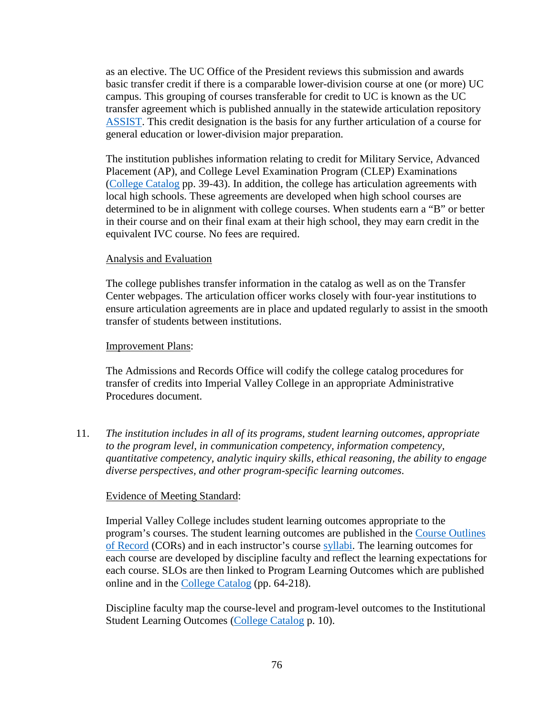as an elective. The UC Office of the President reviews this submission and awards basic transfer credit if there is a comparable lower-division course at one (or more) UC campus. This grouping of courses transferable for credit to UC is known as the UC transfer agreement which is published annually in the statewide articulation repository [ASSIST.](http://www.assist.org/web-assist/welcome.html) This credit designation is the basis for any further articulation of a course for general education or lower-division major preparation.

The institution publishes information relating to credit for Military Service, Advanced Placement (AP), and College Level Examination Program (CLEP) Examinations [\(College Catalog](https://www.imperial.edu/docs/catalogs-schedules/catalog-archive/2018-2019-catalog/8941-2018-2019-catalog-part-04-college-policies-rules-and-regulations/file) pp. 39-43). In addition, the college has articulation agreements with local high schools. These agreements are developed when high school courses are determined to be in alignment with college courses. When students earn a "B" or better in their course and on their final exam at their high school, they may earn credit in the equivalent IVC course. No fees are required.

#### Analysis and Evaluation

The college publishes transfer information in the catalog as well as on the Transfer Center webpages. The articulation officer works closely with four-year institutions to ensure articulation agreements are in place and updated regularly to assist in the smooth transfer of students between institutions.

#### Improvement Plans:

The Admissions and Records Office will codify the college catalog procedures for transfer of credits into Imperial Valley College in an appropriate Administrative Procedures document.

11. *The institution includes in all of its programs, student learning outcomes, appropriate to the program level, in communication competency, information competency, quantitative competency, analytic inquiry skills, ethical reasoning, the ability to engage diverse perspectives, and other program-specific learning outcomes*.

#### Evidence of Meeting Standard:

Imperial Valley College includes student learning outcomes appropriate to the program's courses. The student learning outcomes are published in the [Course Outlines](http://imperial.curricunet.com/PublicSearch/Index)  [of Record](http://imperial.curricunet.com/PublicSearch/Index) (CORs) and in each instructor's course [syllabi.](https://syllabi.imperial.edu/) The learning outcomes for each course are developed by discipline faculty and reflect the learning expectations for each course. SLOs are then linked to Program Learning Outcomes which are published online and in the [College Catalog](https://www.imperial.edu/docs/catalogs-schedules/catalog-archive/2018-2019-catalog/8950-2018-2019-catalog-part-06-associate-degree-and-certificate-programs/file) (pp. 64-218).

Discipline faculty map the course-level and program-level outcomes to the Institutional Student Learning Outcomes [\(College Catalog](https://www.imperial.edu/docs/catalogs-schedules/catalog-archive/2018-2019-catalog/8949-2018-2019-catalog-part-01-accreditation-about-the-college/file) p. 10).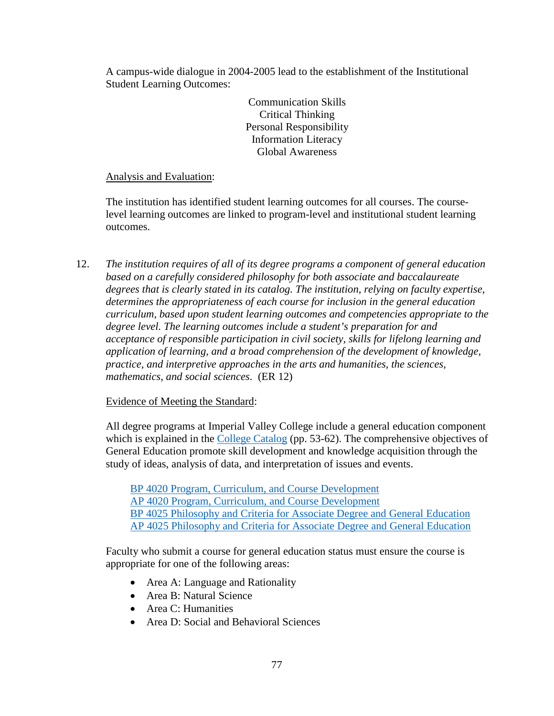A campus-wide dialogue in 2004-2005 lead to the establishment of the Institutional Student Learning Outcomes:

> Communication Skills Critical Thinking Personal Responsibility Information Literacy Global Awareness

# Analysis and Evaluation:

The institution has identified student learning outcomes for all courses. The courselevel learning outcomes are linked to program-level and institutional student learning outcomes.

12. *The institution requires of all of its degree programs a component of general education based on a carefully considered philosophy for both associate and baccalaureate degrees that is clearly stated in its catalog. The institution, relying on faculty expertise, determines the appropriateness of each course for inclusion in the general education curriculum, based upon student learning outcomes and competencies appropriate to the degree level. The learning outcomes include a student's preparation for and acceptance of responsible participation in civil society, skills for lifelong learning and application of learning, and a broad comprehension of the development of knowledge, practice, and interpretive approaches in the arts and humanities, the sciences, mathematics, and social sciences*. (ER 12)

# Evidence of Meeting the Standard:

All degree programs at Imperial Valley College include a general education component which is explained in the [College Catalog](https://www.imperial.edu/docs/catalogs-schedules/catalog-archive/2018-2019-catalog/8942-2018-2019-catalog-part-05-degrees-certificates-and-transfer-planning/file) (pp. 53-62). The comprehensive objectives of General Education promote skill development and knowledge acquisition through the study of ideas, analysis of data, and interpretation of issues and events.

BP [4020 Program, Curriculum, and Course Development](https://www.imperial.edu/docs/accreditation/2018-institutional-self-evaluation-report/evidence-board-policies/9022-bp-4020-program-curriculum-and-course-development-1/file) AP [4020 Program, Curriculum, and Course Development](https://www.imperial.edu/docs/accreditation/2018-institutional-self-evaluation-report/evidence-administrative-procedures/9058-ap-4020-program-curriculum-and-course-development/file) BP [4025 Philosophy and Criteria for Associate Degree and General Education](https://www.imperial.edu/docs/accreditation/2018-institutional-self-evaluation-report/evidence-board-policies/9023-bp-4025-philosophy-and-criteria-for-associate-degree-and-general-education-1/file) AP [4025 Philosophy and Criteria for Associate Degree and General Education](https://www.imperial.edu/docs/accreditation/2018-institutional-self-evaluation-report/evidence-administrative-procedures/9060-ap-4025-philosophy-and-criteria-for-associate-degree-and-general-education/file)

Faculty who submit a course for general education status must ensure the course is appropriate for one of the following areas:

- Area A: Language and Rationality
- Area B: Natural Science
- Area C: Humanities
- Area D: Social and Behavioral Sciences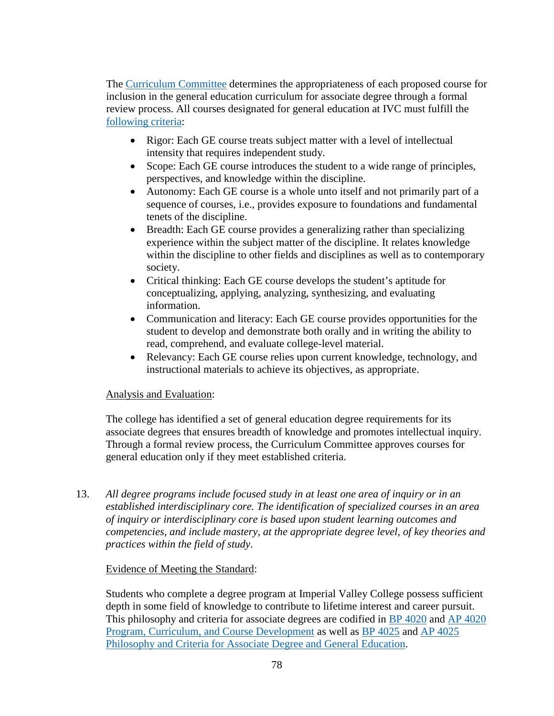The [Curriculum Committee](https://www.imperial.edu/faculty-and-staff/campus-committees/academic-senate/subcommittees/curriculum/) determines the appropriateness of each proposed course for inclusion in the general education curriculum for associate degree through a formal review process. All courses designated for general education at IVC must fulfill the [following criteria:](https://www.imperial.edu/docs/accreditation/2018-institutional-self-evaluation-report/evidence-planning-documents/9128-miracosta-college-plan-a-ge-checklist/file)

- Rigor: Each GE course treats subject matter with a level of intellectual intensity that requires independent study.
- Scope: Each GE course introduces the student to a wide range of principles, perspectives, and knowledge within the discipline.
- Autonomy: Each GE course is a whole unto itself and not primarily part of a sequence of courses, i.e., provides exposure to foundations and fundamental tenets of the discipline.
- Breadth: Each GE course provides a generalizing rather than specializing experience within the subject matter of the discipline. It relates knowledge within the discipline to other fields and disciplines as well as to contemporary society.
- Critical thinking: Each GE course develops the student's aptitude for conceptualizing, applying, analyzing, synthesizing, and evaluating information.
- Communication and literacy: Each GE course provides opportunities for the student to develop and demonstrate both orally and in writing the ability to read, comprehend, and evaluate college-level material.
- Relevancy: Each GE course relies upon current knowledge, technology, and instructional materials to achieve its objectives, as appropriate.

# Analysis and Evaluation:

The college has identified a set of general education degree requirements for its associate degrees that ensures breadth of knowledge and promotes intellectual inquiry. Through a formal review process, the Curriculum Committee approves courses for general education only if they meet established criteria.

13. *All degree programs include focused study in at least one area of inquiry or in an established interdisciplinary core. The identification of specialized courses in an area of inquiry or interdisciplinary core is based upon student learning outcomes and competencies, and include mastery, at the appropriate degree level, of key theories and practices within the field of study*.

# Evidence of Meeting the Standard:

Students who complete a degree program at Imperial Valley College possess sufficient depth in some field of knowledge to contribute to lifetime interest and career pursuit. This philosophy and criteria for associate degrees are codified in BP [4020](https://www.imperial.edu/docs/accreditation/2018-institutional-self-evaluation-report/evidence-board-policies/9022-bp-4020-program-curriculum-and-course-development-1/file) and AP [4020](https://www.imperial.edu/docs/accreditation/2018-institutional-self-evaluation-report/evidence-administrative-procedures/9058-ap-4020-program-curriculum-and-course-development/file)  Program, [Curriculum, and Course Development](https://www.imperial.edu/docs/accreditation/2018-institutional-self-evaluation-report/evidence-administrative-procedures/9058-ap-4020-program-curriculum-and-course-development/file) as well as BP [4025](https://www.imperial.edu/docs/accreditation/2018-institutional-self-evaluation-report/evidence-board-policies/9023-bp-4025-philosophy-and-criteria-for-associate-degree-and-general-education-1/file) and AP [4025](https://www.imperial.edu/docs/accreditation/2018-institutional-self-evaluation-report/evidence-administrative-procedures/9060-ap-4025-philosophy-and-criteria-for-associate-degree-and-general-education/file)  [Philosophy and Criteria for Associate Degree and General Education.](https://www.imperial.edu/docs/accreditation/2018-institutional-self-evaluation-report/evidence-administrative-procedures/9060-ap-4025-philosophy-and-criteria-for-associate-degree-and-general-education/file)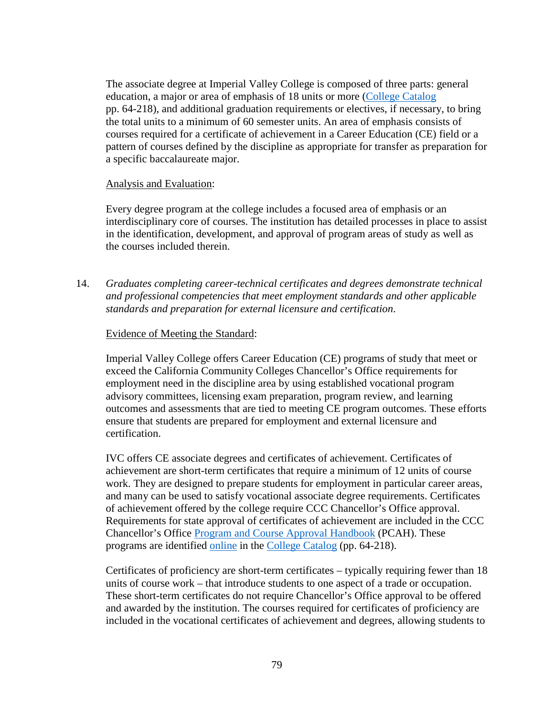The associate degree at Imperial Valley College is composed of three parts: general education, a major or area of emphasis of 18 units or more [\(College Catalog](https://www.imperial.edu/docs/catalogs-schedules/catalog-archive/2018-2019-catalog/8950-2018-2019-catalog-part-06-associate-degree-and-certificate-programs/file) pp. 64-218), and additional graduation requirements or electives, if necessary, to bring the total units to a minimum of 60 semester units. An area of emphasis consists of courses required for a certificate of achievement in a Career Education (CE) field or a pattern of courses defined by the discipline as appropriate for transfer as preparation for a specific baccalaureate major.

### Analysis and Evaluation:

Every degree program at the college includes a focused area of emphasis or an interdisciplinary core of courses. The institution has detailed processes in place to assist in the identification, development, and approval of program areas of study as well as the courses included therein.

14. *Graduates completing career-technical certificates and degrees demonstrate technical and professional competencies that meet employment standards and other applicable standards and preparation for external licensure and certification*.

# Evidence of Meeting the Standard:

Imperial Valley College offers Career Education (CE) programs of study that meet or exceed the California Community Colleges Chancellor's Office requirements for employment need in the discipline area by using established vocational program advisory committees, licensing exam preparation, program review, and learning outcomes and assessments that are tied to meeting CE program outcomes. These efforts ensure that students are prepared for employment and external licensure and certification.

IVC offers CE associate degrees and certificates of achievement. Certificates of achievement are short-term certificates that require a minimum of 12 units of course work. They are designed to prepare students for employment in particular career areas, and many can be used to satisfy vocational associate degree requirements. Certificates of achievement offered by the college require CCC Chancellor's Office approval. Requirements for state approval of certificates of achievement are included in the CCC Chancellor's Office [Program and Course Approval Handbook](https://www.imperial.edu/docs/committees/academic-senate/subcommittees-1/curriculum/resources-1/2108-program-and-course-approval-handbook/file) (PCAH). These programs are identified [online](https://www.imperial.edu/courses-and-programs/program-pathways/) in the [College Catalog](https://www.imperial.edu/docs/catalogs-schedules/catalog-archive/2018-2019-catalog/8950-2018-2019-catalog-part-06-associate-degree-and-certificate-programs/file) (pp. 64-218).

Certificates of proficiency are short-term certificates – typically requiring fewer than 18 units of course work – that introduce students to one aspect of a trade or occupation. These short-term certificates do not require Chancellor's Office approval to be offered and awarded by the institution. The courses required for certificates of proficiency are included in the vocational certificates of achievement and degrees, allowing students to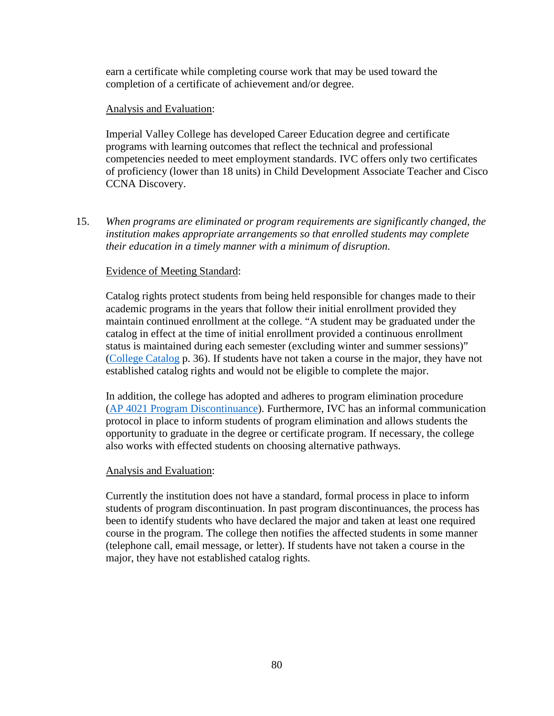earn a certificate while completing course work that may be used toward the completion of a certificate of achievement and/or degree.

### Analysis and Evaluation:

Imperial Valley College has developed Career Education degree and certificate programs with learning outcomes that reflect the technical and professional competencies needed to meet employment standards. IVC offers only two certificates of proficiency (lower than 18 units) in Child Development Associate Teacher and Cisco CCNA Discovery.

15. *When programs are eliminated or program requirements are significantly changed, the institution makes appropriate arrangements so that enrolled students may complete their education in a timely manner with a minimum of disruption*.

# Evidence of Meeting Standard:

Catalog rights protect students from being held responsible for changes made to their academic programs in the years that follow their initial enrollment provided they maintain continued enrollment at the college. "A student may be graduated under the catalog in effect at the time of initial enrollment provided a continuous enrollment status is maintained during each semester (excluding winter and summer sessions)" [\(College Catalog](https://www.imperial.edu/docs/catalogs-schedules/catalog-archive/2018-2019-catalog/8952-2018-2019-catalog-part-04-college-policies-rules-and-regulations/file) p. 36). If students have not taken a course in the major, they have not established catalog rights and would not be eligible to complete the major.

In addition, the college has adopted and adheres to program elimination procedure (AP [4021 Program Discontinuance\)](https://www.imperial.edu/docs/accreditation/2018-institutional-self-evaluation-report/evidence-administrative-procedures/9059-ap-4021-program-discontinuance-2/file). Furthermore, IVC has an informal communication protocol in place to inform students of program elimination and allows students the opportunity to graduate in the degree or certificate program. If necessary, the college also works with effected students on choosing alternative pathways.

# Analysis and Evaluation:

Currently the institution does not have a standard, formal process in place to inform students of program discontinuation. In past program discontinuances, the process has been to identify students who have declared the major and taken at least one required course in the program. The college then notifies the affected students in some manner (telephone call, email message, or letter). If students have not taken a course in the major, they have not established catalog rights.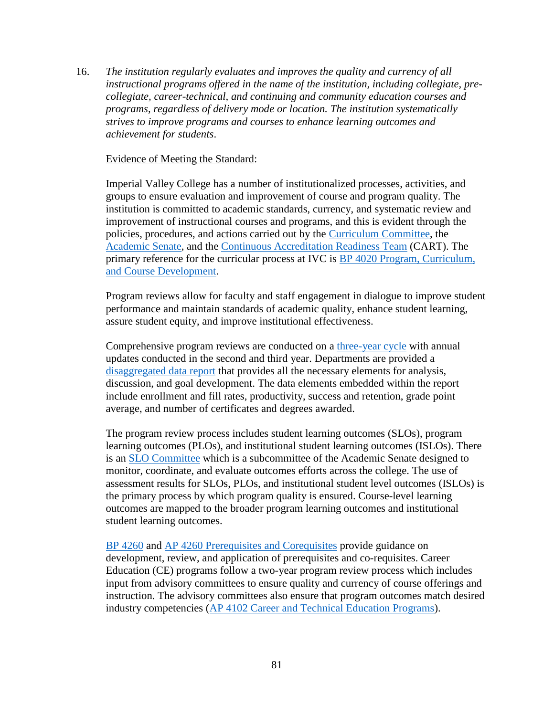16. *The institution regularly evaluates and improves the quality and currency of all instructional programs offered in the name of the institution, including collegiate, precollegiate, career-technical, and continuing and community education courses and programs, regardless of delivery mode or location. The institution systematically strives to improve programs and courses to enhance learning outcomes and achievement for students*.

#### Evidence of Meeting the Standard:

Imperial Valley College has a number of institutionalized processes, activities, and groups to ensure evaluation and improvement of course and program quality. The institution is committed to academic standards, currency, and systematic review and improvement of instructional courses and programs, and this is evident through the policies, procedures, and actions carried out by the [Curriculum Committee,](https://www.imperial.edu/faculty-and-staff/campus-committees/academic-senate/subcommittees/curriculum/) the [Academic Senate,](https://www.imperial.edu/faculty-and-staff/campus-committees/academic-senate/subcommittees/curriculum/) and the [Continuous Accreditation Readiness Team](https://www.imperial.edu/faculty-and-staff/campus-committees/cart-committee/) (CART). The primary reference for the curricular process at IVC is BP [4020 Program, Curriculum,](https://www.imperial.edu/docs/accreditation/2018-institutional-self-evaluation-report/evidence-board-policies/9022-bp-4020-program-curriculum-and-course-development-1/file)  [and Course Development.](https://www.imperial.edu/docs/accreditation/2018-institutional-self-evaluation-report/evidence-board-policies/9022-bp-4020-program-curriculum-and-course-development-1/file)

Program reviews allow for faculty and staff engagement in dialogue to improve student performance and maintain standards of academic quality, enhance student learning, assure student equity, and improve institutional effectiveness.

Comprehensive program reviews are conducted on a [three-year cycle](https://www.imperial.edu/docs/accreditation/2018-institutional-self-evaluation-report/evidence-planning-documents/9102-2017-2018-program-review-cycles-and-timeline/file) with annual updates conducted in the second and third year. Departments are provided a [disaggregated data report](http://accreditation.imperial.edu/docs/2018/) that provides all the necessary elements for analysis, discussion, and goal development. The data elements embedded within the report include enrollment and fill rates, productivity, success and retention, grade point average, and number of certificates and degrees awarded.

The program review process includes student learning outcomes (SLOs), program learning outcomes (PLOs), and institutional student learning outcomes (ISLOs). There is an [SLO Committee](https://imperial.instructure.com/courses/5725) which is a subcommittee of the Academic Senate designed to monitor, coordinate, and evaluate outcomes efforts across the college. The use of assessment results for SLOs, PLOs, and institutional student level outcomes (ISLOs) is the primary process by which program quality is ensured. Course-level learning outcomes are mapped to the broader program learning outcomes and institutional student learning outcomes.

BP [4260](https://www.imperial.edu/docs/accreditation/2018-institutional-self-evaluation-report/evidence-board-policies/9027-bp-4260-pre-requisites-and-co-requisites-1/file) and AP [4260 Prerequisites and Corequisites](https://www.imperial.edu/docs/accreditation/2018-institutional-self-evaluation-report/evidence-administrative-procedures/9065-ap-4260-prerequisites-and-corequisites-revised/file) provide guidance on development, review, and application of prerequisites and co-requisites. Career Education (CE) programs follow a two-year program review process which includes input from advisory committees to ensure quality and currency of course offerings and instruction. The advisory committees also ensure that program outcomes match desired industry competencies (AP [4102 Career and Technical Education Programs\)](https://www.imperial.edu/docs/accreditation/2018-institutional-self-evaluation-report/evidence-administrative-procedures/9063-ap-4102-career-and-technical-education-programs/file).